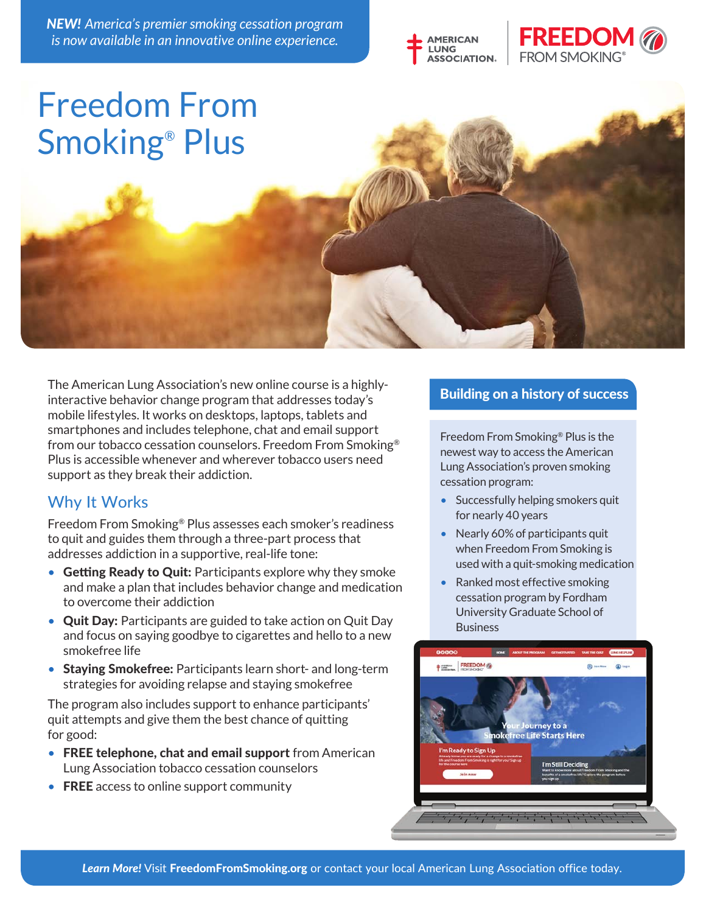*NEW! America's premier smoking cessation program is now available in an innovative online experience.*





# Freedom From Smoking® Plus

The American Lung Association's new online course is a highlyinteractive behavior change program that addresses today's mobile lifestyles. It works on desktops, laptops, tablets and smartphones and includes telephone, chat and email support from our tobacco cessation counselors. Freedom From Smoking® Plus is accessible whenever and wherever tobacco users need support as they break their addiction.

### Why It Works

Freedom From Smoking® Plus assesses each smoker's readiness to quit and guides them through a three-part process that addresses addiction in a supportive, real-life tone:

- Getting Ready to Quit: Participants explore why they smoke and make a plan that includes behavior change and medication to overcome their addiction
- Quit Day: Participants are guided to take action on Quit Day and focus on saying goodbye to cigarettes and hello to a new smokefree life
- Staying Smokefree: Participants learn short- and long-term strategies for avoiding relapse and staying smokefree

The program also includes support to enhance participants' quit attempts and give them the best chance of quitting for good:

- FREE telephone, chat and email support from American Lung Association tobacco cessation counselors
- FREE access to online support community

#### Building on a history of success

Freedom From Smoking® Plus is the newest way to access the American Lung Association's proven smoking cessation program:

- Successfully helping smokers quit for nearly 40 years
- Nearly 60% of participants quit when Freedom From Smoking is used with a quit-smoking medication
- Ranked most effective smoking cessation program by Fordham University Graduate School of **Business**